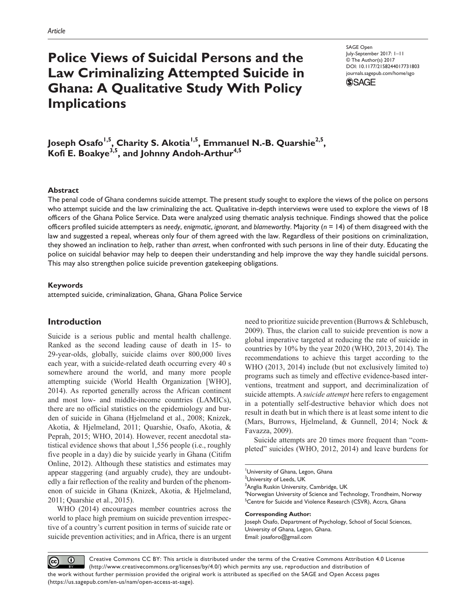# **Police Views of Suicidal Persons and the Law Criminalizing Attempted Suicide in Ghana: A Qualitative Study With Policy Implications**

https://doi.org/10.1177/2158244017731803 DOI: 10.1177/2158244017731803 SAGE Open July-September 2017: 1–11 © The Author(s) 2017 [journals.sagepub.com/home/sgo](https://journals.sagepub.com/home/sgo)



Joseph Osafo<sup>1,5</sup>, Charity S. Akotia<sup>1,5</sup>, Emmanuel N.-B. Quarshie<sup>2,5</sup>,

**Kofi E. Boakye3,5 , and Johnny Andoh-Arthur4,5**

#### **Abstract**

The penal code of Ghana condemns suicide attempt. The present study sought to explore the views of the police on persons who attempt suicide and the law criminalizing the act. Qualitative in-depth interviews were used to explore the views of 18 officers of the Ghana Police Service. Data were analyzed using thematic analysis technique. Findings showed that the police officers profiled suicide attempters as *needy*, *enigmatic*, *ignorant*, and *blameworthy*. Majority (*n* = 14) of them disagreed with the law and suggested a repeal, whereas only four of them agreed with the law. Regardless of their positions on criminalization, they showed an inclination to *help*, rather than *arrest*, when confronted with such persons in line of their duty. Educating the police on suicidal behavior may help to deepen their understanding and help improve the way they handle suicidal persons. This may also strengthen police suicide prevention gatekeeping obligations.

## **Keywords**

attempted suicide, criminalization, Ghana, Ghana Police Service

## **Introduction**

Suicide is a serious public and mental health challenge. Ranked as the second leading cause of death in 15- to 29-year-olds, globally, suicide claims over 800,000 lives each year, with a suicide-related death occurring every 40 s somewhere around the world, and many more people attempting suicide (World Health Organization [WHO], 2014). As reported generally across the African continent and most low- and middle-income countries (LAMICs), there are no official statistics on the epidemiology and burden of suicide in Ghana (Hjelmeland et al., 2008; Knizek, Akotia, & Hjelmeland, 2011; Quarshie, Osafo, Akotia, & Peprah, 2015; WHO, 2014). However, recent anecdotal statistical evidence shows that about 1,556 people (i.e., roughly five people in a day) die by suicide yearly in Ghana (Citifm Online, 2012). Although these statistics and estimates may appear staggering (and arguably crude), they are undoubtedly a fair reflection of the reality and burden of the phenomenon of suicide in Ghana (Knizek, Akotia, & Hjelmeland, 2011; Quarshie et al., 2015).

WHO (2014) encourages member countries across the world to place high premium on suicide prevention irrespective of a country's current position in terms of suicide rate or suicide prevention activities; and in Africa, there is an urgent need to prioritize suicide prevention (Burrows & Schlebusch, 2009). Thus, the clarion call to suicide prevention is now a global imperative targeted at reducing the rate of suicide in countries by 10% by the year 2020 (WHO, 2013, 2014). The recommendations to achieve this target according to the WHO (2013, 2014) include (but not exclusively limited to) programs such as timely and effective evidence-based interventions, treatment and support, and decriminalization of suicide attempts. A *suicide attempt* here refers to engagement in a potentially self-destructive behavior which does not result in death but in which there is at least some intent to die (Mars, Burrows, Hjelmeland, & Gunnell, 2014; Nock & Favazza, 2009).

Suicide attempts are 20 times more frequent than "completed" suicides (WHO, 2012, 2014) and leave burdens for

<sup>2</sup>University of Leeds, UK

<sup>3</sup>Anglia Ruskin University, Cambridge, UK

4 Norwegian University of Science and Technology, Trondheim, Norway <sup>5</sup>Centre for Suicide and Violence Research (CSVR), Accra, Ghana

**Corresponding Author:**

Joseph Osafo, Department of Psychology, School of Social Sciences, University of Ghana, Legon, Ghana. Email: [josaforo@gmail.com](mailto:josaforo@gmail.com)

Creative Commons CC BY: This article is distributed under the terms of the Creative Commons Attribution 4.0 License  $\odot$ (cc) (http://www.creativecommons.org/licenses/by/4.0/) which permits any use, reproduction and distribution of the work without further permission provided the original work is attributed as specified on the SAGE and Open Access pages (https://us.sagepub.com/en-us/nam/open-access-at-sage).

University of Ghana, Legon, Ghana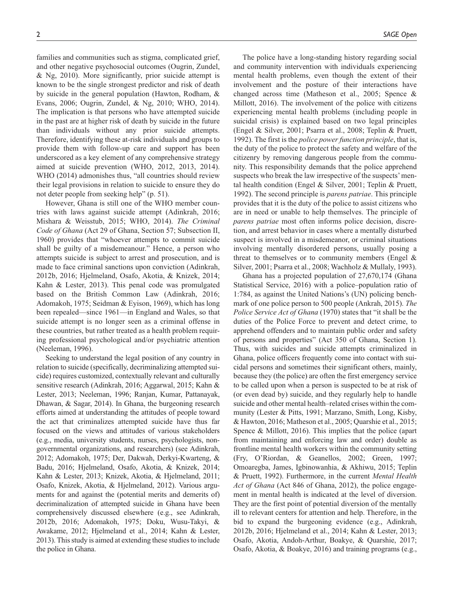families and communities such as stigma, complicated grief, and other negative psychosocial outcomes (Ougrin, Zundel, & Ng, 2010). More significantly, prior suicide attempt is known to be the single strongest predictor and risk of death by suicide in the general population (Hawton, Rodham, & Evans, 2006; Ougrin, Zundel, & Ng, 2010; WHO, 2014). The implication is that persons who have attempted suicide in the past are at higher risk of death by suicide in the future than individuals without any prior suicide attempts. Therefore, identifying these at-risk individuals and groups to provide them with follow-up care and support has been underscored as a key element of any comprehensive strategy aimed at suicide prevention (WHO, 2012, 2013, 2014). WHO (2014) admonishes thus, "all countries should review their legal provisions in relation to suicide to ensure they do not deter people from seeking help" (p. 51).

However, Ghana is still one of the WHO member countries with laws against suicide attempt (Adinkrah, 2016; Mishara & Weisstub, 2015; WHO, 2014). *The Criminal Code of Ghana* (Act 29 of Ghana, Section 57; Subsection II, 1960) provides that "whoever attempts to commit suicide shall be guilty of a misdemeanour." Hence, a person who attempts suicide is subject to arrest and prosecution, and is made to face criminal sanctions upon conviction (Adinkrah, 2012b, 2016; Hjelmeland, Osafo, Akotia, & Knizek, 2014; Kahn & Lester, 2013). This penal code was promulgated based on the British Common Law (Adinkrah, 2016; Adomakoh, 1975; Seidman & Eyison, 1969), which has long been repealed—since 1961—in England and Wales, so that suicide attempt is no longer seen as a criminal offense in these countries, but rather treated as a health problem requiring professional psychological and/or psychiatric attention (Neeleman, 1996).

Seeking to understand the legal position of any country in relation to suicide (specifically, decriminalizing attempted suicide) requires customized, contextually relevant and culturally sensitive research (Adinkrah, 2016; Aggarwal, 2015; Kahn & Lester, 2013; Neeleman, 1996; Ranjan, Kumar, Pattanayak, Dhawan, & Sagar, 2014). In Ghana, the burgeoning research efforts aimed at understanding the attitudes of people toward the act that criminalizes attempted suicide have thus far focused on the views and attitudes of various stakeholders (e.g., media, university students, nurses, psychologists, nongovernmental organizations, and researchers) (see Adinkrah, 2012; Adomakoh, 1975; Der, Dakwah, Derkyi-Kwarteng, & Badu, 2016; Hjelmeland, Osafo, Akotia, & Knizek, 2014; Kahn & Lester, 2013; Knizek, Akotia, & Hjelmeland, 2011; Osafo, Knizek, Akotia, & Hjelmeland, 2012). Various arguments for and against the (potential merits and demerits of) decriminalization of attempted suicide in Ghana have been comprehensively discussed elsewhere (e.g., see Adinkrah, 2012b, 2016; Adomakoh, 1975; Doku, Wusu-Takyi, & Awakame, 2012; Hjelmeland et al., 2014; Kahn & Lester, 2013). This study is aimed at extending these studies to include the police in Ghana.

The police have a long-standing history regarding social and community intervention with individuals experiencing mental health problems, even though the extent of their involvement and the posture of their interactions have changed across time (Matheson et al., 2005; Spence & Millott, 2016). The involvement of the police with citizens experiencing mental health problems (including people in suicidal crisis) is explained based on two legal principles (Engel & Silver, 2001; Psarra et al., 2008; Teplin & Pruett, 1992). The first is the *police power function principle*, that is, the duty of the police to protect the safety and welfare of the citizenry by removing dangerous people from the community. This responsibility demands that the police apprehend suspects who break the law irrespective of the suspects' mental health condition (Engel & Silver, 2001; Teplin & Pruett, 1992). The second principle is *parens patriae*. This principle provides that it is the duty of the police to assist citizens who are in need or unable to help themselves. The principle of *parens patriae* most often informs police decision, discretion, and arrest behavior in cases where a mentally disturbed suspect is involved in a misdemeanor, or criminal situations involving mentally disordered persons, usually posing a threat to themselves or to community members (Engel & Silver, 2001; Psarra et al., 2008; Wachholz & Mullaly, 1993).

Ghana has a projected population of 27,670,174 (Ghana Statistical Service, 2016) with a police–population ratio of 1:784, as against the United Nations's (UN) policing benchmark of one police person to 500 people (Ankrah, 2015). *The Police Service Act of Ghana* (1970) states that "it shall be the duties of the Police Force to prevent and detect crime, to apprehend offenders and to maintain public order and safety of persons and properties" (Act 350 of Ghana, Section 1). Thus, with suicides and suicide attempts criminalized in Ghana, police officers frequently come into contact with suicidal persons and sometimes their significant others, mainly, because they (the police) are often the first emergency service to be called upon when a person is suspected to be at risk of (or even dead by) suicide, and they regularly help to handle suicide and other mental health–related crises within the community (Lester & Pitts, 1991; Marzano, Smith, Long, Kisby, & Hawton, 2016; Matheson et al., 2005; Quarshie et al., 2015; Spence & Millott, 2016). This implies that the police (apart from maintaining and enforcing law and order) double as frontline mental health workers within the community setting (Fry, O'Riordan, & Geanellos, 2002; Green, 1997; Omoaregba, James, Igbinowanhia, & Akhiwu, 2015; Teplin & Pruett, 1992). Furthermore, in the current *Mental Health Act of Ghana* (Act 846 of Ghana, 2012), the police engagement in mental health is indicated at the level of diversion. They are the first point of potential diversion of the mentally ill to relevant centers for attention and help. Therefore, in the bid to expand the burgeoning evidence (e.g., Adinkrah, 2012b, 2016; Hjelmeland et al., 2014; Kahn & Lester, 2013; Osafo, Akotia, Andoh-Arthur, Boakye, & Quarshie, 2017; Osafo, Akotia, & Boakye, 2016) and training programs (e.g.,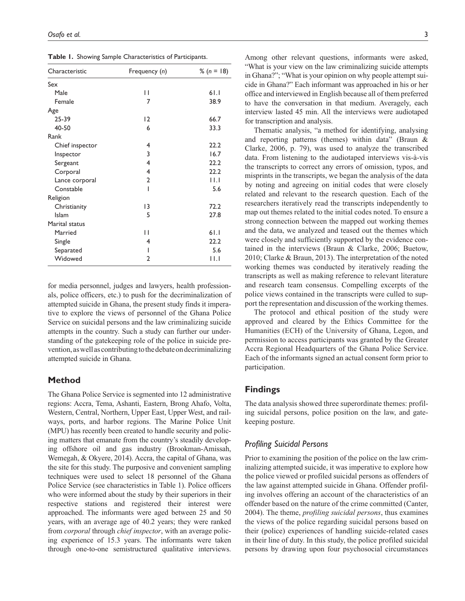**Table 1.** Showing Sample Characteristics of Participants.

| Characteristic  | Frequency (n)  | % ( $n = 18$ )          |
|-----------------|----------------|-------------------------|
| Sex             |                |                         |
| Male            | Н              | 61.1                    |
| Female          | 7              | 38.9                    |
| Age             |                |                         |
| 25-39           | 12             | 66.7                    |
| 40-50           | 6              | 33.3                    |
| Rank            |                |                         |
| Chief inspector | 4              | 22.2                    |
| Inspector       | 3              | 16.7                    |
| Sergeant        | 4              | 22.2                    |
| Corporal        | $\overline{4}$ | 22.2                    |
| Lance corporal  | $\overline{2}$ | $\mathsf{H}.\mathsf{I}$ |
| Constable       | I              | 5.6                     |
| Religion        |                |                         |
| Christianity    | 13             | 72.2                    |
| Islam           | 5              | 27.8                    |
| Marital status  |                |                         |
| Married         | Н              | 61.1                    |
| Single          | 4              | 22.2                    |
| Separated       | ı              | 5.6                     |
| Widowed         | $\mathfrak{p}$ | $\vert \vert$ . $\vert$ |

for media personnel, judges and lawyers, health professionals, police officers, etc.) to push for the decriminalization of attempted suicide in Ghana, the present study finds it imperative to explore the views of personnel of the Ghana Police Service on suicidal persons and the law criminalizing suicide attempts in the country. Such a study can further our understanding of the gatekeeping role of the police in suicide prevention, as well as contributing to the debate on decriminalizing attempted suicide in Ghana.

## **Method**

The Ghana Police Service is segmented into 12 administrative regions: Accra, Tema, Ashanti, Eastern, Brong Ahafo, Volta, Western, Central, Northern, Upper East, Upper West, and railways, ports, and harbor regions. The Marine Police Unit (MPU) has recently been created to handle security and policing matters that emanate from the country's steadily developing offshore oil and gas industry (Brookman-Amissah, Wemegah, & Okyere, 2014). Accra, the capital of Ghana, was the site for this study. The purposive and convenient sampling techniques were used to select 18 personnel of the Ghana Police Service (see characteristics in Table 1). Police officers who were informed about the study by their superiors in their respective stations and registered their interest were approached. The informants were aged between 25 and 50 years, with an average age of 40.2 years; they were ranked from *corporal* through *chief inspector*, with an average policing experience of 15.3 years. The informants were taken through one-to-one semistructured qualitative interviews.

Thematic analysis, "a method for identifying, analysing and reporting patterns (themes) within data" (Braun & Clarke, 2006, p. 79), was used to analyze the transcribed data. From listening to the audiotaped interviews vis-à-vis the transcripts to correct any errors of omission, typos, and misprints in the transcripts, we began the analysis of the data by noting and agreeing on initial codes that were closely related and relevant to the research question. Each of the researchers iteratively read the transcripts independently to map out themes related to the initial codes noted. To ensure a strong connection between the mapped out working themes and the data, we analyzed and teased out the themes which were closely and sufficiently supported by the evidence contained in the interviews (Braun & Clarke, 2006; Buetow, 2010; Clarke & Braun, 2013). The interpretation of the noted working themes was conducted by iteratively reading the transcripts as well as making reference to relevant literature and research team consensus. Compelling excerpts of the police views contained in the transcripts were culled to support the representation and discussion of the working themes.

The protocol and ethical position of the study were approved and cleared by the Ethics Committee for the Humanities (ECH) of the University of Ghana, Legon, and permission to access participants was granted by the Greater Accra Regional Headquarters of the Ghana Police Service. Each of the informants signed an actual consent form prior to participation.

#### **Findings**

The data analysis showed three superordinate themes: profiling suicidal persons, police position on the law, and gatekeeping posture.

#### *Profiling Suicidal Persons*

Prior to examining the position of the police on the law criminalizing attempted suicide, it was imperative to explore how the police viewed or profiled suicidal persons as offenders of the law against attempted suicide in Ghana. Offender profiling involves offering an account of the characteristics of an offender based on the nature of the crime committed (Canter, 2004). The theme, *profiling suicidal persons*, thus examines the views of the police regarding suicidal persons based on their (police) experiences of handling suicide-related cases in their line of duty. In this study, the police profiled suicidal persons by drawing upon four psychosocial circumstances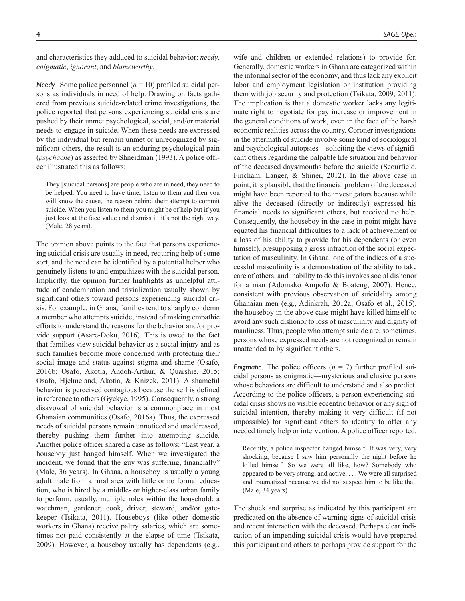and characteristics they adduced to suicidal behavior: *needy*, *enigmatic*, *ignorant*, and *blameworthy*.

*Needy.* Some police personnel  $(n = 10)$  profiled suicidal persons as individuals in need of help. Drawing on facts gathered from previous suicide-related crime investigations, the police reported that persons experiencing suicidal crisis are pushed by their unmet psychological, social, and/or material needs to engage in suicide. When these needs are expressed by the individual but remain unmet or unrecognized by significant others, the result is an enduring psychological pain (*psychache*) as asserted by Shneidman (1993). A police officer illustrated this as follows:

They [suicidal persons] are people who are in need, they need to be helped. You need to have time, listen to them and then you will know the cause, the reason behind their attempt to commit suicide. When you listen to them you might be of help but if you just look at the face value and dismiss it, it's not the right way. (Male, 28 years).

The opinion above points to the fact that persons experiencing suicidal crisis are usually in need, requiring help of some sort, and the need can be identified by a potential helper who genuinely listens to and empathizes with the suicidal person. Implicitly, the opinion further highlights as unhelpful attitude of condemnation and trivialization usually shown by significant others toward persons experiencing suicidal crisis. For example, in Ghana, families tend to sharply condemn a member who attempts suicide, instead of making empathic efforts to understand the reasons for the behavior and/or provide support (Asare-Doku, 2016). This is owed to the fact that families view suicidal behavior as a social injury and as such families become more concerned with protecting their social image and status against stigma and shame (Osafo, 2016b; Osafo, Akotia, Andoh-Arthur, & Quarshie, 2015; Osafo, Hjelmeland, Akotia, & Knizek, 2011). A shameful behavior is perceived contagious because the self is defined in reference to others (Gyekye, 1995). Consequently, a strong disavowal of suicidal behavior is a commonplace in most Ghanaian communities (Osafo, 2016a). Thus, the expressed needs of suicidal persons remain unnoticed and unaddressed, thereby pushing them further into attempting suicide. Another police officer shared a case as follows: "Last year, a houseboy just hanged himself. When we investigated the incident, we found that the guy was suffering, financially" (Male, 36 years). In Ghana, a houseboy is usually a young adult male from a rural area with little or no formal education, who is hired by a middle- or higher-class urban family to perform, usually, multiple roles within the household: a watchman, gardener, cook, driver, steward, and/or gatekeeper (Tsikata, 2011). Houseboys (like other domestic workers in Ghana) receive paltry salaries, which are sometimes not paid consistently at the elapse of time (Tsikata, 2009). However, a houseboy usually has dependents (e.g.,

wife and children or extended relations) to provide for. Generally, domestic workers in Ghana are categorized within the informal sector of the economy, and thus lack any explicit labor and employment legislation or institution providing them with job security and protection (Tsikata, 2009, 2011). The implication is that a domestic worker lacks any legitimate right to negotiate for pay increase or improvement in the general conditions of work, even in the face of the harsh economic realities across the country. Coroner investigations in the aftermath of suicide involve some kind of sociological and psychological autopsies—soliciting the views of significant others regarding the palpable life situation and behavior of the deceased days/months before the suicide (Scourfield, Fincham, Langer, & Shiner, 2012). In the above case in point, it is plausible that the financial problem of the deceased might have been reported to the investigators because while alive the deceased (directly or indirectly) expressed his financial needs to significant others, but received no help. Consequently, the houseboy in the case in point might have equated his financial difficulties to a lack of achievement or a loss of his ability to provide for his dependents (or even himself), presupposing a gross infraction of the social expectation of masculinity. In Ghana, one of the indices of a successful masculinity is a demonstration of the ability to take care of others, and inability to do this invokes social dishonor for a man (Adomako Ampofo & Boateng, 2007). Hence, consistent with previous observation of suicidality among Ghanaian men (e.g., Adinkrah, 2012a; Osafo et al., 2015), the houseboy in the above case might have killed himself to

avoid any such dishonor to loss of masculinity and dignity of manliness. Thus, people who attempt suicide are, sometimes, persons whose expressed needs are not recognized or remain unattended to by significant others.

*Enigmatic.* The police officers  $(n = 7)$  further profiled suicidal persons as enigmatic—mysterious and elusive persons whose behaviors are difficult to understand and also predict. According to the police officers, a person experiencing suicidal crisis shows no visible eccentric behavior or any sign of suicidal intention, thereby making it very difficult (if not impossible) for significant others to identify to offer any needed timely help or intervention. A police officer reported,

Recently, a police inspector hanged himself. It was very, very shocking, because I saw him personally the night before he killed himself. So we were all like, how? Somebody who appeared to be very strong, and active. . . . We were all surprised and traumatized because we did not suspect him to be like that. (Male, 34 years)

The shock and surprise as indicated by this participant are predicated on the absence of warning signs of suicidal crisis and recent interaction with the deceased. Perhaps clear indication of an impending suicidal crisis would have prepared this participant and others to perhaps provide support for the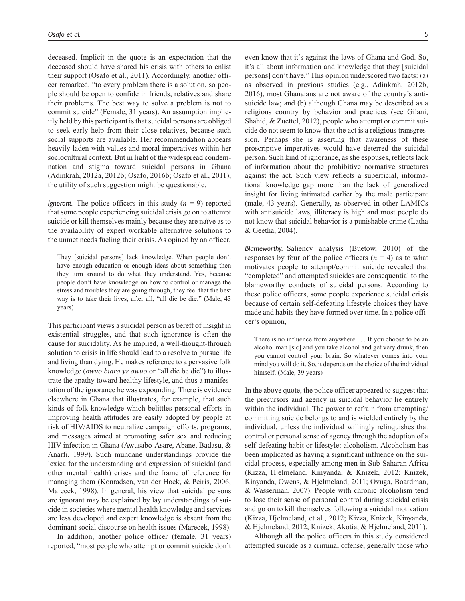deceased. Implicit in the quote is an expectation that the deceased should have shared his crisis with others to enlist their support (Osafo et al., 2011). Accordingly, another officer remarked, "to every problem there is a solution, so people should be open to confide in friends, relatives and share their problems. The best way to solve a problem is not to commit suicide" (Female, 31 years). An assumption implicitly held by this participant is that suicidal persons are obliged to seek early help from their close relatives, because such social supports are available. Her recommendation appears heavily laden with values and moral imperatives within her sociocultural context. But in light of the widespread condemnation and stigma toward suicidal persons in Ghana (Adinkrah, 2012a, 2012b; Osafo, 2016b; Osafo et al., 2011), the utility of such suggestion might be questionable.

*Ignorant.* The police officers in this study (*n* = 9) reported that some people experiencing suicidal crisis go on to attempt suicide or kill themselves mainly because they are naïve as to the availability of expert workable alternative solutions to the unmet needs fueling their crisis. As opined by an officer,

They [suicidal persons] lack knowledge. When people don't have enough education or enough ideas about something then they turn around to do what they understand. Yes, because people don't have knowledge on how to control or manage the stress and troubles they are going through, they feel that the best way is to take their lives, after all, "all die be die." (Male, 43 years)

This participant views a suicidal person as bereft of insight in existential struggles, and that such ignorance is often the cause for suicidality. As he implied, a well-thought-through solution to crisis in life should lead to a resolve to pursue life and living than dying. He makes reference to a pervasive folk knowledge (*owuo biara yε owuo* or "all die be die") to illustrate the apathy toward healthy lifestyle, and thus a manifestation of the ignorance he was expounding. There is evidence elsewhere in Ghana that illustrates, for example, that such kinds of folk knowledge which belittles personal efforts in improving health attitudes are easily adopted by people at risk of HIV/AIDS to neutralize campaign efforts, programs, and messages aimed at promoting safer sex and reducing HIV infection in Ghana (Awusabo-Asare, Abane, Badasu, & Anarfi, 1999). Such mundane understandings provide the lexica for the understanding and expression of suicidal (and other mental health) crises and the frame of reference for managing them (Konradsen, van der Hoek, & Peiris, 2006; Marecek, 1998). In general, his view that suicidal persons are ignorant may be explained by lay understandings of suicide in societies where mental health knowledge and services are less developed and expert knowledge is absent from the dominant social discourse on health issues (Marecek, 1998).

In addition, another police officer (female, 31 years) reported, "most people who attempt or commit suicide don't even know that it's against the laws of Ghana and God. So, it's all about information and knowledge that they [suicidal persons] don't have." This opinion underscored two facts: (a) as observed in previous studies (e.g., Adinkrah, 2012b, 2016), most Ghanaians are not aware of the country's antisuicide law; and (b) although Ghana may be described as a religious country by behavior and practices (see Gilani, Shahid, & Zuettel, 2012), people who attempt or commit suicide do not seem to know that the act is a religious transgression. Perhaps she is asserting that awareness of these proscriptive imperatives would have deterred the suicidal person. Such kind of ignorance, as she espouses, reflects lack of information about the prohibitive normative structures against the act. Such view reflects a superficial, informational knowledge gap more than the lack of generalized insight for living intimated earlier by the male participant (male, 43 years). Generally, as observed in other LAMICs with antisuicide laws, illiteracy is high and most people do not know that suicidal behavior is a punishable crime (Latha & Geetha, 2004).

*Blameworthy.* Saliency analysis (Buetow, 2010) of the responses by four of the police officers  $(n = 4)$  as to what motivates people to attempt/commit suicide revealed that "completed" and attempted suicides are consequential to the blameworthy conducts of suicidal persons. According to these police officers, some people experience suicidal crisis because of certain self-defeating lifestyle choices they have made and habits they have formed over time. In a police officer's opinion,

There is no influence from anywhere . . . If you choose to be an alcohol man [sic] and you take alcohol and get very drunk, then you cannot control your brain. So whatever comes into your mind you will do it. So, it depends on the choice of the individual himself. (Male, 39 years)

In the above quote, the police officer appeared to suggest that the precursors and agency in suicidal behavior lie entirely within the individual. The power to refrain from attempting/ committing suicide belongs to and is wielded entirely by the individual, unless the individual willingly relinquishes that control or personal sense of agency through the adoption of a self-defeating habit or lifestyle: alcoholism. Alcoholism has been implicated as having a significant influence on the suicidal process, especially among men in Sub-Saharan Africa (Kizza, Hjelmeland, Kinyanda, & Knizek, 2012; Knizek, Kinyanda, Owens, & Hjelmeland, 2011; Ovuga, Boardman, & Wasserman, 2007). People with chronic alcoholism tend to lose their sense of personal control during suicidal crisis and go on to kill themselves following a suicidal motivation (Kizza, Hjelmeland, et al., 2012; Kizza, Knizek, Kinyanda, & Hjelmeland, 2012; Knizek, Akotia, & Hjelmeland, 2011).

Although all the police officers in this study considered attempted suicide as a criminal offense, generally those who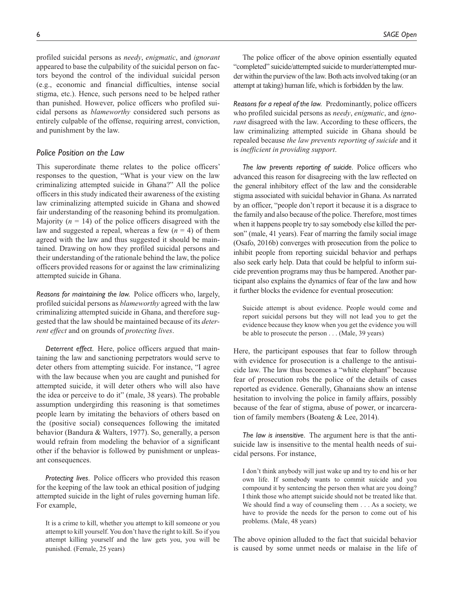profiled suicidal persons as *needy*, *enigmatic*, and *ignorant* appeared to base the culpability of the suicidal person on factors beyond the control of the individual suicidal person (e.g., economic and financial difficulties, intense social stigma, etc.). Hence, such persons need to be helped rather than punished. However, police officers who profiled suicidal persons as *blameworthy* considered such persons as entirely culpable of the offense, requiring arrest, conviction, and punishment by the law.

### *Police Position on the Law*

This superordinate theme relates to the police officers' responses to the question, "What is your view on the law criminalizing attempted suicide in Ghana?" All the police officers in this study indicated their awareness of the existing law criminalizing attempted suicide in Ghana and showed fair understanding of the reasoning behind its promulgation. Majority  $(n = 14)$  of the police officers disagreed with the law and suggested a repeal, whereas a few  $(n = 4)$  of them agreed with the law and thus suggested it should be maintained. Drawing on how they profiled suicidal persons and their understanding of the rationale behind the law, the police officers provided reasons for or against the law criminalizing attempted suicide in Ghana.

*Reasons for maintaining the law.* Police officers who, largely, profiled suicidal persons as *blameworthy* agreed with the law criminalizing attempted suicide in Ghana, and therefore suggested that the law should be maintained because of its *deterrent effect* and on grounds of *protecting lives*.

*Deterrent effect*. Here, police officers argued that maintaining the law and sanctioning perpetrators would serve to deter others from attempting suicide. For instance, "I agree with the law because when you are caught and punished for attempted suicide, it will deter others who will also have the idea or perceive to do it" (male, 38 years). The probable assumption undergirding this reasoning is that sometimes people learn by imitating the behaviors of others based on the (positive social) consequences following the imitated behavior (Bandura & Walters, 1977). So, generally, a person would refrain from modeling the behavior of a significant other if the behavior is followed by punishment or unpleasant consequences.

*Protecting lives*. Police officers who provided this reason for the keeping of the law took an ethical position of judging attempted suicide in the light of rules governing human life. For example,

The police officer of the above opinion essentially equated "completed" suicide/attempted suicide to murder/attempted murder within the purview of the law. Both acts involved taking (or an attempt at taking) human life, which is forbidden by the law.

*Reasons for a repeal of the law.* Predominantly, police officers who profiled suicidal persons as *needy*, *enigmatic*, and *ignorant* disagreed with the law. According to these officers, the law criminalizing attempted suicide in Ghana should be repealed because *the law prevents reporting of suicide* and it is *inefficient in providing support*.

*The law prevents reporting of suicide*. Police officers who advanced this reason for disagreeing with the law reflected on the general inhibitory effect of the law and the considerable stigma associated with suicidal behavior in Ghana. As narrated by an officer, "people don't report it because it is a disgrace to the family and also because of the police. Therefore, most times when it happens people try to say somebody else killed the person" (male, 41 years). Fear of marring the family social image (Osafo, 2016b) converges with prosecution from the police to inhibit people from reporting suicidal behavior and perhaps also seek early help. Data that could be helpful to inform suicide prevention programs may thus be hampered. Another participant also explains the dynamics of fear of the law and how it further blocks the evidence for eventual prosecution:

Suicide attempt is about evidence. People would come and report suicidal persons but they will not lead you to get the evidence because they know when you get the evidence you will be able to prosecute the person . . . (Male, 39 years)

Here, the participant espouses that fear to follow through with evidence for prosecution is a challenge to the antisuicide law. The law thus becomes a "white elephant" because fear of prosecution robs the police of the details of cases reported as evidence. Generally, Ghanaians show an intense hesitation to involving the police in family affairs, possibly because of the fear of stigma, abuse of power, or incarceration of family members (Boateng & Lee, 2014).

*The law is insensitive*. The argument here is that the antisuicide law is insensitive to the mental health needs of suicidal persons. For instance,

I don't think anybody will just wake up and try to end his or her own life. If somebody wants to commit suicide and you compound it by sentencing the person then what are you doing? I think those who attempt suicide should not be treated like that. We should find a way of counseling them . . . As a society, we have to provide the needs for the person to come out of his problems. (Male, 48 years)

The above opinion alluded to the fact that suicidal behavior is caused by some unmet needs or malaise in the life of

It is a crime to kill, whether you attempt to kill someone or you attempt to kill yourself. You don't have the right to kill. So if you attempt killing yourself and the law gets you, you will be punished. (Female, 25 years)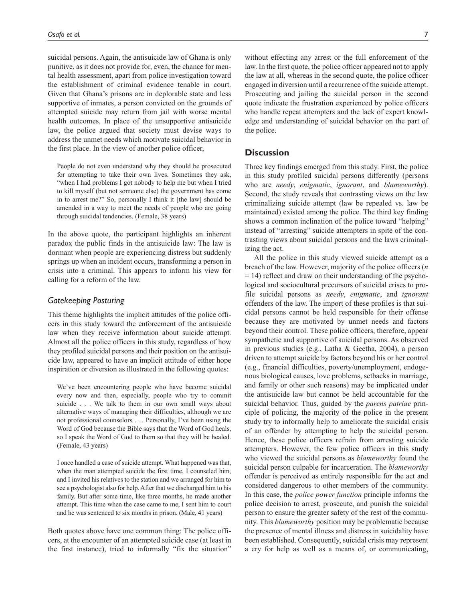suicidal persons. Again, the antisuicide law of Ghana is only punitive, as it does not provide for, even, the chance for mental health assessment, apart from police investigation toward the establishment of criminal evidence tenable in court. Given that Ghana's prisons are in deplorable state and less supportive of inmates, a person convicted on the grounds of attempted suicide may return from jail with worse mental health outcomes. In place of the unsupportive antisuicide law, the police argued that society must devise ways to address the unmet needs which motivate suicidal behavior in the first place. In the view of another police officer,

People do not even understand why they should be prosecuted for attempting to take their own lives. Sometimes they ask, "when I had problems I got nobody to help me but when I tried to kill myself (but not someone else) the government has come in to arrest me?" So, personally I think it [the law] should be amended in a way to meet the needs of people who are going through suicidal tendencies. (Female, 38 years)

In the above quote, the participant highlights an inherent paradox the public finds in the antisuicide law: The law is dormant when people are experiencing distress but suddenly springs up when an incident occurs, transforming a person in crisis into a criminal. This appears to inform his view for calling for a reform of the law.

### *Gatekeeping Posturing*

This theme highlights the implicit attitudes of the police officers in this study toward the enforcement of the antisuicide law when they receive information about suicide attempt. Almost all the police officers in this study, regardless of how they profiled suicidal persons and their position on the antisuicide law, appeared to have an implicit attitude of either hope inspiration or diversion as illustrated in the following quotes:

We've been encountering people who have become suicidal every now and then, especially, people who try to commit suicide . . . We talk to them in our own small ways about alternative ways of managing their difficulties, although we are not professional counselors . . . Personally, I've been using the Word of God because the Bible says that the Word of God heals, so I speak the Word of God to them so that they will be healed. (Female, 43 years)

I once handled a case of suicide attempt. What happened was that, when the man attempted suicide the first time, I counseled him, and I invited his relatives to the station and we arranged for him to see a psychologist also for help. After that we discharged him to his family. But after some time, like three months, he made another attempt. This time when the case came to me, I sent him to court and he was sentenced to six months in prison. (Male, 41 years)

Both quotes above have one common thing: The police officers, at the encounter of an attempted suicide case (at least in the first instance), tried to informally "fix the situation"

without effecting any arrest or the full enforcement of the law. In the first quote, the police officer appeared not to apply the law at all, whereas in the second quote, the police officer engaged in diversion until a recurrence of the suicide attempt. Prosecuting and jailing the suicidal person in the second quote indicate the frustration experienced by police officers who handle repeat attempters and the lack of expert knowledge and understanding of suicidal behavior on the part of the police.

## **Discussion**

Three key findings emerged from this study. First, the police in this study profiled suicidal persons differently (persons who are *needy*, *enigmatic*, *ignorant*, and *blameworthy*). Second, the study reveals that contrasting views on the law criminalizing suicide attempt (law be repealed vs. law be maintained) existed among the police. The third key finding shows a common inclination of the police toward "helping" instead of "arresting" suicide attempters in spite of the contrasting views about suicidal persons and the laws criminalizing the act.

All the police in this study viewed suicide attempt as a breach of the law. However, majority of the police officers (*n* = 14) reflect and draw on their understanding of the psychological and sociocultural precursors of suicidal crises to profile suicidal persons as *needy*, *enigmatic*, and *ignorant* offenders of the law. The import of these profiles is that suicidal persons cannot be held responsible for their offense because they are motivated by unmet needs and factors beyond their control. These police officers, therefore, appear sympathetic and supportive of suicidal persons. As observed in previous studies (e.g., Latha & Geetha, 2004), a person driven to attempt suicide by factors beyond his or her control (e.g., financial difficulties, poverty/unemployment, endogenous biological causes, love problems, setbacks in marriage, and family or other such reasons) may be implicated under the antisuicide law but cannot be held accountable for the suicidal behavior. Thus, guided by the *parens patriae* principle of policing, the majority of the police in the present study try to informally help to ameliorate the suicidal crisis of an offender by attempting to help the suicidal person. Hence, these police officers refrain from arresting suicide attempters. However, the few police officers in this study who viewed the suicidal persons as *blameworthy* found the suicidal person culpable for incarceration. The *blameworthy* offender is perceived as entirely responsible for the act and considered dangerous to other members of the community. In this case, the *police power function* principle informs the police decision to arrest, prosecute, and punish the suicidal person to ensure the greater safety of the rest of the community. This *blameworthy* position may be problematic because the presence of mental illness and distress in suicidality have been established. Consequently, suicidal crisis may represent a cry for help as well as a means of, or communicating,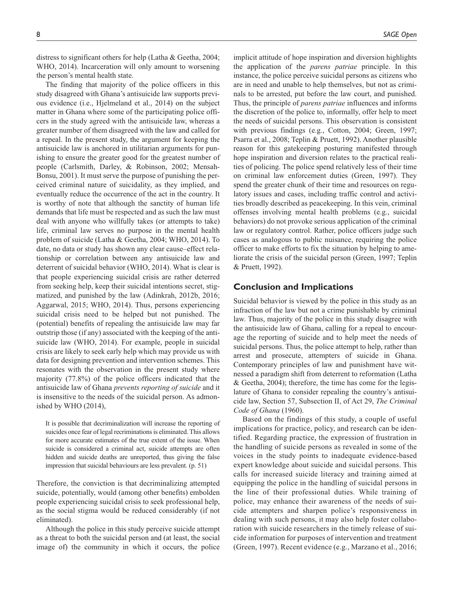distress to significant others for help (Latha & Geetha, 2004; WHO, 2014). Incarceration will only amount to worsening the person's mental health state.

The finding that majority of the police officers in this study disagreed with Ghana's antisuicide law supports previous evidence (i.e., Hjelmeland et al., 2014) on the subject matter in Ghana where some of the participating police officers in the study agreed with the antisuicide law, whereas a greater number of them disagreed with the law and called for a repeal. In the present study, the argument for keeping the antisuicide law is anchored in utilitarian arguments for punishing to ensure the greater good for the greatest number of people (Carlsmith, Darley, & Robinson, 2002; Mensah-Bonsu, 2001). It must serve the purpose of punishing the perceived criminal nature of suicidality, as they implied, and eventually reduce the occurrence of the act in the country. It is worthy of note that although the sanctity of human life demands that life must be respected and as such the law must deal with anyone who willfully takes (or attempts to take) life, criminal law serves no purpose in the mental health problem of suicide (Latha & Geetha, 2004; WHO, 2014). To date, no data or study has shown any clear cause–effect relationship or correlation between any antisuicide law and deterrent of suicidal behavior (WHO, 2014). What is clear is that people experiencing suicidal crisis are rather deterred from seeking help, keep their suicidal intentions secret, stigmatized, and punished by the law (Adinkrah, 2012b, 2016; Aggarwal, 2015; WHO, 2014). Thus, persons experiencing suicidal crisis need to be helped but not punished. The (potential) benefits of repealing the antisuicide law may far outstrip those (if any) associated with the keeping of the antisuicide law (WHO, 2014). For example, people in suicidal crisis are likely to seek early help which may provide us with data for designing prevention and intervention schemes. This resonates with the observation in the present study where majority (77.8%) of the police officers indicated that the antisuicide law of Ghana *prevents reporting of suicide* and it is insensitive to the needs of the suicidal person. As admonished by WHO (2014),

It is possible that decriminalization will increase the reporting of suicides once fear of legal recriminations is eliminated. This allows for more accurate estimates of the true extent of the issue. When suicide is considered a criminal act, suicide attempts are often hidden and suicide deaths are unreported, thus giving the false impression that suicidal behaviours are less prevalent. (p. 51)

Therefore, the conviction is that decriminalizing attempted suicide, potentially, would (among other benefits) embolden people experiencing suicidal crisis to seek professional help, as the social stigma would be reduced considerably (if not eliminated).

Although the police in this study perceive suicide attempt as a threat to both the suicidal person and (at least, the social image of) the community in which it occurs, the police

implicit attitude of hope inspiration and diversion highlights the application of the *parens patriae* principle. In this instance, the police perceive suicidal persons as citizens who are in need and unable to help themselves, but not as criminals to be arrested, put before the law court, and punished. Thus, the principle of *parens patriae* influences and informs the discretion of the police to, informally, offer help to meet the needs of suicidal persons. This observation is consistent with previous findings (e.g., Cotton, 2004; Green, 1997; Psarra et al., 2008; Teplin & Pruett, 1992). Another plausible reason for this gatekeeping posturing manifested through hope inspiration and diversion relates to the practical realities of policing. The police spend relatively less of their time on criminal law enforcement duties (Green, 1997). They spend the greater chunk of their time and resources on regulatory issues and cases, including traffic control and activities broadly described as peacekeeping. In this vein, criminal offenses involving mental health problems (e.g., suicidal behaviors) do not provoke serious application of the criminal law or regulatory control. Rather, police officers judge such cases as analogous to public nuisance, requiring the police officer to make efforts to fix the situation by helping to ameliorate the crisis of the suicidal person (Green, 1997; Teplin & Pruett, 1992).

## **Conclusion and Implications**

Suicidal behavior is viewed by the police in this study as an infraction of the law but not a crime punishable by criminal law. Thus, majority of the police in this study disagree with the antisuicide law of Ghana, calling for a repeal to encourage the reporting of suicide and to help meet the needs of suicidal persons. Thus, the police attempt to help, rather than arrest and prosecute, attempters of suicide in Ghana. Contemporary principles of law and punishment have witnessed a paradigm shift from deterrent to reformation (Latha & Geetha, 2004); therefore, the time has come for the legislature of Ghana to consider repealing the country's antisuicide law, Section 57, Subsection II, of Act 29, *The Criminal Code of Ghana* (1960).

Based on the findings of this study, a couple of useful implications for practice, policy, and research can be identified. Regarding practice, the expression of frustration in the handling of suicide persons as revealed in some of the voices in the study points to inadequate evidence-based expert knowledge about suicide and suicidal persons. This calls for increased suicide literacy and training aimed at equipping the police in the handling of suicidal persons in the line of their professional duties. While training of police, may enhance their awareness of the needs of suicide attempters and sharpen police's responsiveness in dealing with such persons, it may also help foster collaboration with suicide researchers in the timely release of suicide information for purposes of intervention and treatment (Green, 1997). Recent evidence (e.g., Marzano et al., 2016;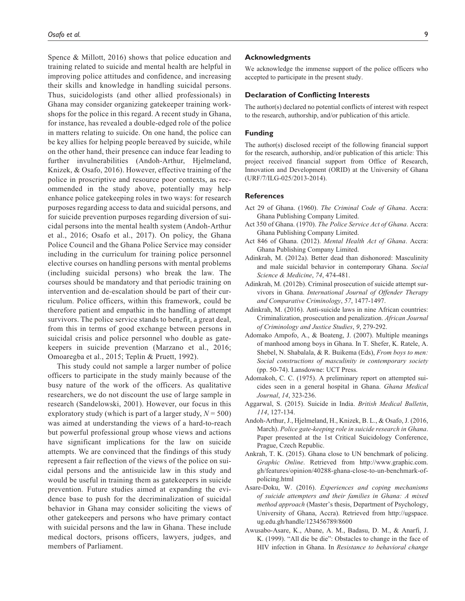Spence & Millott, 2016) shows that police education and training related to suicide and mental health are helpful in improving police attitudes and confidence, and increasing their skills and knowledge in handling suicidal persons. Thus, suicidologists (and other allied professionals) in Ghana may consider organizing gatekeeper training workshops for the police in this regard. A recent study in Ghana, for instance, has revealed a double-edged role of the police in matters relating to suicide. On one hand, the police can be key allies for helping people bereaved by suicide, while on the other hand, their presence can induce fear leading to further invulnerabilities (Andoh-Arthur, Hjelmeland, Knizek, & Osafo, 2016). However, effective training of the police in proscriptive and resource poor contexts, as recommended in the study above, potentially may help enhance police gatekeeping roles in two ways: for research purposes regarding access to data and suicidal persons, and for suicide prevention purposes regarding diversion of suicidal persons into the mental health system (Andoh-Arthur et al., 2016; Osafo et al., 2017). On policy, the Ghana Police Council and the Ghana Police Service may consider including in the curriculum for training police personnel elective courses on handling persons with mental problems (including suicidal persons) who break the law. The courses should be mandatory and that periodic training on intervention and de-escalation should be part of their curriculum. Police officers, within this framework, could be therefore patient and empathic in the handling of attempt survivors. The police service stands to benefit, a great deal, from this in terms of good exchange between persons in suicidal crisis and police personnel who double as gatekeepers in suicide prevention (Marzano et al., 2016; Omoaregba et al., 2015; Teplin & Pruett, 1992).

This study could not sample a larger number of police officers to participate in the study mainly because of the busy nature of the work of the officers. As qualitative researchers, we do not discount the use of large sample in research (Sandelowski, 2001). However, our focus in this exploratory study (which is part of a larger study,  $N = 500$ ) was aimed at understanding the views of a hard-to-reach but powerful professional group whose views and actions have significant implications for the law on suicide attempts. We are convinced that the findings of this study represent a fair reflection of the views of the police on suicidal persons and the antisuicide law in this study and would be useful in training them as gatekeepers in suicide prevention. Future studies aimed at expanding the evidence base to push for the decriminalization of suicidal behavior in Ghana may consider soliciting the views of other gatekeepers and persons who have primary contact with suicidal persons and the law in Ghana. These include medical doctors, prisons officers, lawyers, judges, and members of Parliament.

#### **Acknowledgments**

We acknowledge the immense support of the police officers who accepted to participate in the present study.

#### **Declaration of Conflicting Interests**

The author(s) declared no potential conflicts of interest with respect to the research, authorship, and/or publication of this article.

#### **Funding**

The author(s) disclosed receipt of the following financial support for the research, authorship, and/or publication of this article: This project received financial support from Office of Research, Innovation and Development (ORID) at the University of Ghana (URF/7/ILG-025/2013-2014).

#### **References**

- Act 29 of Ghana. (1960). *The Criminal Code of Ghana*. Accra: Ghana Publishing Company Limited.
- Act 350 of Ghana. (1970). *The Police Service Act of Ghana*. Accra: Ghana Publishing Company Limited.
- Act 846 of Ghana. (2012). *Mental Health Act of Ghana*. Accra: Ghana Publishing Company Limited.
- Adinkrah, M. (2012a). Better dead than dishonored: Masculinity and male suicidal behavior in contemporary Ghana. *Social Science & Medicine*, *74*, 474-481.
- Adinkrah, M. (2012b). Criminal prosecution of suicide attempt survivors in Ghana. *International Journal of Offender Therapy and Comparative Criminology*, *57*, 1477-1497.
- Adinkrah, M. (2016). Anti-suicide laws in nine African countries: Criminalization, prosecution and penalization. *African Journal of Criminology and Justice Studies*, *9*, 279-292.
- Adomako Ampofo, A., & Boateng, J. (2007). Multiple meanings of manhood among boys in Ghana. In T. Shefer, K. Ratele, A. Shebel, N. Shabalala, & R. Buikema (Eds), *From boys to men: Social constructions of masculinity in contemporary society* (pp. 50-74). Lansdowne: UCT Press.
- Adomakoh, C. C. (1975). A preliminary report on attempted suicides seen in a general hospital in Ghana. *Ghana Medical Journal*, *14*, 323-236.
- Aggarwal, S. (2015). Suicide in India. *British Medical Bulletin*, *114*, 127-134.
- Andoh-Arthur, J., Hjelmeland, H., Knizek, B. L., & Osafo, J. (2016, March). *Police gate-keeping role in suicide research in Ghana*. Paper presented at the 1st Critical Suicidology Conference, Prague, Czech Republic.
- Ankrah, T. K. (2015). Ghana close to UN benchmark of policing. *Graphic Online*. Retrieved from [http://www.graphic.com.](http://www.graphic.com.gh/features/opinion/40288-ghana-close-to-un-benchmark-of-policing.html) [gh/features/opinion/40288-ghana-close-to-un-benchmark-of](http://www.graphic.com.gh/features/opinion/40288-ghana-close-to-un-benchmark-of-policing.html)[policing.html](http://www.graphic.com.gh/features/opinion/40288-ghana-close-to-un-benchmark-of-policing.html)
- Asare-Doku, W. (2016). *Experiences and coping mechanisms of suicide attempters and their families in Ghana: A mixed method approach* (Master's thesis, Department of Psychology, University of Ghana, Accra). Retrieved from [http://ugspace.](http://ugspace.ug.edu.gh/handle/123456789/8600) [ug.edu.gh/handle/123456789/8600](http://ugspace.ug.edu.gh/handle/123456789/8600)
- Awusabo-Asare, K., Abane, A. M., Badasu, D. M., & Anarfi, J. K. (1999). "All die be die": Obstacles to change in the face of HIV infection in Ghana. In *Resistance to behavioral change*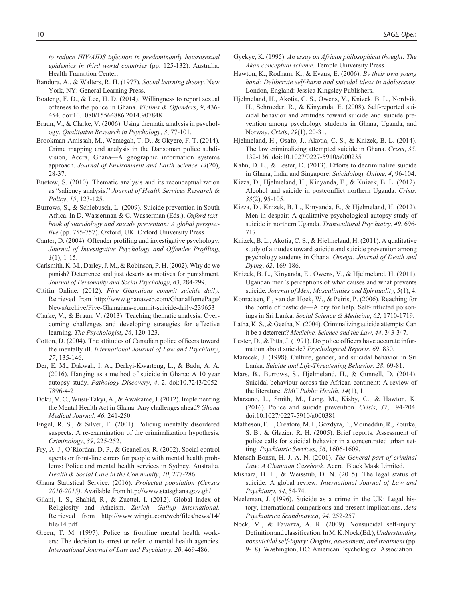*to reduce HIV/AIDS infection in predominantly heterosexual epidemics in third world countries* (pp. 125-132). Australia: Health Transition Center.

- Bandura, A., & Walters, R. H. (1977). *Social learning theory*. New York, NY: General Learning Press.
- Boateng, F. D., & Lee, H. D. (2014). Willingness to report sexual offenses to the police in Ghana. *Victims & Offenders*, *9*, 436- 454. doi:10.1080/15564886.2014.907848
- Braun, V., & Clarke, V. (2006). Using thematic analysis in psychology. *Qualitative Research in Psychology*, *3*, 77-101.
- Brookman-Amissah, M., Wemegah, T. D., & Okyere, F. T. (2014). Crime mapping and analysis in the Dansoman police subdivision, Accra, Ghana—A geographic information systems approach. *Journal of Environment and Earth Science 14*(20), 28-37.
- Buetow, S. (2010). Thematic analysis and its reconceptualization as "saliency analysis." *Journal of Health Services Research & Policy*, *15*, 123-125.
- Burrows, S., & Schlebusch, L. (2009). Suicide prevention in South Africa. In D. Wasserman & C. Wasserman (Eds.), *Oxford textbook of suicidology and suicide prevention: A global perspective* (pp. 755-757). Oxford, UK: Oxford University Press.
- Canter, D. (2004). Offender profiling and investigative psychology. *Journal of Investigative Psychology and Offender Profiling*, *1*(1), 1-15.
- Carlsmith, K. M., Darley, J. M., & Robinson, P. H. (2002). Why do we punish? Deterrence and just deserts as motives for punishment. *Journal of Personality and Social Psychology*, *83*, 284-299.
- Citifm Online. (2012). *Five Ghanaians commit suicide daily*. Retrieved from [http://www.ghanaweb.com/GhanaHomePage/](http://www.ghanaweb.com/GhanaHomePage/NewsArchive/Five-Ghanaians-commit-suicide-daily-239653) [NewsArchive/Five-Ghanaians-commit-suicide-daily-239653](http://www.ghanaweb.com/GhanaHomePage/NewsArchive/Five-Ghanaians-commit-suicide-daily-239653)
- Clarke, V., & Braun, V. (2013). Teaching thematic analysis: Overcoming challenges and developing strategies for effective learning. *The Psychologist*, *26*, 120-123.
- Cotton, D. (2004). The attitudes of Canadian police officers toward the mentally ill. *International Journal of Law and Psychiatry*, *27*, 135-146.
- Der, E. M., Dakwah, I. A., Derkyi-Kwarteng, L., & Badu, A. A. (2016). Hanging as a method of suicide in Ghana: A 10 year autopsy study. *Pathology Discovery*, *4*, 2. doi:10.7243/2052- 7896-4-2
- Doku, V. C., Wusu-Takyi, A., & Awakame, J. (2012). Implementing the Mental Health Act in Ghana: Any challenges ahead? *Ghana Medical Journal*, *46*, 241-250.
- Engel, R. S., & Silver, E. (2001). Policing mentally disordered suspects: A re-examination of the criminalization hypothesis. *Criminology*, *39*, 225-252.
- Fry, A. J., O'Riordan, D. P., & Geanellos, R. (2002). Social control agents or front-line carers for people with mental health problems: Police and mental health services in Sydney, Australia. *Health & Social Care in the Community*, *10*, 277-286.
- Ghana Statistical Service. (2016). *Projected population (Census 2010-2015)*. Available from<http://www.statsghana.gov.gh/>
- Gilani, I. S., Shahid, R., & Zuettel, I. (2012). Global Index of Religiosity and Atheism. *Zurich, Gallup International*. Retrieved from [http://www.wingia.com/web/files/news/14/](http://www.wingia.com/web/files/news/14/file/14.pdf) [file/14.pdf](http://www.wingia.com/web/files/news/14/file/14.pdf)
- Green, T. M. (1997). Police as frontline mental health workers: The decision to arrest or refer to mental health agencies. *International Journal of Law and Psychiatry*, *20*, 469-486.
- Gyekye, K. (1995). *An essay on African philosophical thought: The Akan conceptual scheme*. Temple University Press.
- Hawton, K., Rodham, K., & Evans, E. (2006). *By their own young hand: Deliberate self-harm and suicidal ideas in adolescents*. London, England: Jessica Kingsley Publishers.
- Hjelmeland, H., Akotia, C. S., Owens, V., Knizek, B. L., Nordvik, H., Schroeder, R., & Kinyanda, E. (2008). Self-reported suicidal behavior and attitudes toward suicide and suicide prevention among psychology students in Ghana, Uganda, and Norway. *Crisis*, *29*(1), 20-31.
- Hjelmeland, H., Osafo, J., Akotia, C. S., & Knizek, B. L. (2014). The law criminalizing attempted suicide in Ghana. *Crisis*, *35*, 132-136. doi:10.1027/0227-5910/a000235
- Kahn, D. L., & Lester, D. (2013). Efforts to decriminalize suicide in Ghana, India and Singapore. *Suicidology Online*, *4*, 96-104.
- Kizza, D., Hjelmeland, H., Kinyanda, E., & Knizek, B. L. (2012). Alcohol and suicide in postconflict northern Uganda. *Crisis*, *33*(2), 95-105.
- Kizza, D., Knizek, B. L., Kinyanda, E., & Hjelmeland, H. (2012). Men in despair: A qualitative psychological autopsy study of suicide in northern Uganda. *Transcultural Psychiatry*, *49*, 696- 717.
- Knizek, B. L., Akotia, C. S., & Hjelmeland, H. (2011). A qualitative study of attitudes toward suicide and suicide prevention among psychology students in Ghana. *Omega: Journal of Death and Dying*, *62*, 169-186.
- Knizek, B. L., Kinyanda, E., Owens, V., & Hjelmeland, H. (2011). Ugandan men's perceptions of what causes and what prevents suicide. *Journal of Men, Masculinities and Spirituality*, *5*(1), 4.
- Konradsen, F., van der Hoek, W., & Peiris, P. (2006). Reaching for the bottle of pesticide—A cry for help. Self-inflicted poisonings in Sri Lanka. *Social Science & Medicine*, *62*, 1710-1719.
- Latha, K. S., & Geetha, N. (2004). Criminalizing suicide attempts: Can it be a deterrent? *Medicine, Science and the Law*, *44*, 343-347.
- Lester, D., & Pitts, J. (1991). Do police officers have accurate information about suicide? *Psychological Reports*, *69*, 830.
- Marecek, J. (1998). Culture, gender, and suicidal behavior in Sri Lanka. *Suicide and Life-Threatening Behavior*, *28*, 69-81.
- Mars, B., Burrows, S., Hjelmeland, H., & Gunnell, D. (2014). Suicidal behaviour across the African continent: A review of the literature. *BMC Public Health*, *14*(1), 1.
- Marzano, L., Smith, M., Long, M., Kisby, C., & Hawton, K. (2016). Police and suicide prevention. *Crisis*, *37*, 194-204. doi:10.1027/0227-5910/a000381
- Matheson, F. I., Creatore, M. I., Gozdyra, P., Moineddin, R., Rourke, S. B., & Glazier, R. H. (2005). Brief reports: Assessment of police calls for suicidal behavior in a concentrated urban setting. *Psychiatric Services*, *56*, 1606-1609.
- Mensah-Bonsu, H. J. A. N. (2001). *The General part of criminal Law: A Ghanaian Casebook*. Accra: Black Mask Limited.
- Mishara, B. L., & Weisstub, D. N. (2015). The legal status of suicide: A global review. *International Journal of Law and Psychiatry*, *44*, 54-74.
- Neeleman, J. (1996). Suicide as a crime in the UK: Legal history, international comparisons and present implications. *Acta Psychiatrica Scandinavica*, *94*, 252-257.
- Nock, M., & Favazza, A. R. (2009). Nonsuicidal self-injury: Definition and classification. In M. K. Nock (Ed.), *Understanding nonsuicidal self-injury: Origins, assessment, and treatment* (pp. 9-18). Washington, DC: American Psychological Association.